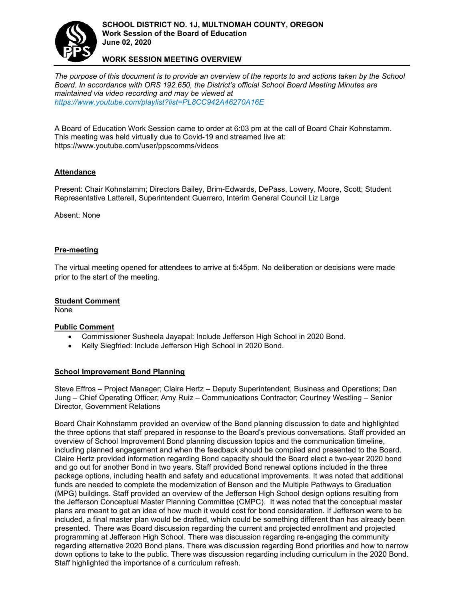

**WORK SESSION MEETING OVERVIEW**

*The purpose of this document is to provide an overview of the reports to and actions taken by the School Board. In accordance with ORS 192.650, the District['s official School Board Meeting Minutes are](https://www.youtube.com/playlist?list=PL8CC942A46270A16E)  maintained via video recording and may be viewed at <https://www.youtube.com/playlist?list=PL8CC942A46270A16E>*

A Board of Education Work Session came to order at 6:03 pm at the call of Board Chair Kohnstamm. This meeting was held virtually due to Covid-19 and streamed live at: https://www.youtube.com/user/ppscomms/videos

# **Attendance**

Present: Chair Kohnstamm; Directors Bailey, Brim-Edwards, DePass, Lowery, Moore, Scott; Student Representative Latterell, Superintendent Guerrero, Interim General Council Liz Large

Absent: None

### **Pre-meeting**

The virtual meeting opened for attendees to arrive at 5:45pm. No deliberation or decisions were made prior to the start of the meeting.

#### **Student Comment**

None

# **Public Comment**

- Commissioner Susheela Jayapal: Include Jefferson High School in 2020 Bond.
- Kelly Siegfried: Include Jefferson High School in 2020 Bond.

#### **School Improvement Bond Planning**

Steve Effros – Project Manager; Claire Hertz – Deputy Superintendent, Business and Operations; Dan Jung – Chief Operating Officer; Amy Ruiz – Communications Contractor; Courtney Westling – Senior Director, Government Relations

Board Chair Kohnstamm provided an overview of the Bond planning discussion to date and highlighted the three options that staff prepared in response to the Board's previous conversations. Staff provided an overview of School Improvement Bond planning discussion topics and the communication timeline, including planned engagement and when the feedback should be compiled and presented to the Board. Claire Hertz provided information regarding Bond capacity should the Board elect a two-year 2020 bond and go out for another Bond in two years. Staff provided Bond renewal options included in the three package options, including health and safety and educational improvements. It was noted that additional funds are needed to complete the modernization of Benson and the Multiple Pathways to Graduation (MPG) buildings. Staff provided an overview of the Jefferson High School design options resulting from the Jefferson Conceptual Master Planning Committee (CMPC). It was noted that the conceptual master plans are meant to get an idea of how much it would cost for bond consideration. If Jefferson were to be included, a final master plan would be drafted, which could be something different than has already been presented. There was Board discussion regarding the current and projected enrollment and projected programming at Jefferson High School. There was discussion regarding re-engaging the community regarding alternative 2020 Bond plans. There was discussion regarding Bond priorities and how to narrow down options to take to the public. There was discussion regarding including curriculum in the 2020 Bond. Staff highlighted the importance of a curriculum refresh.